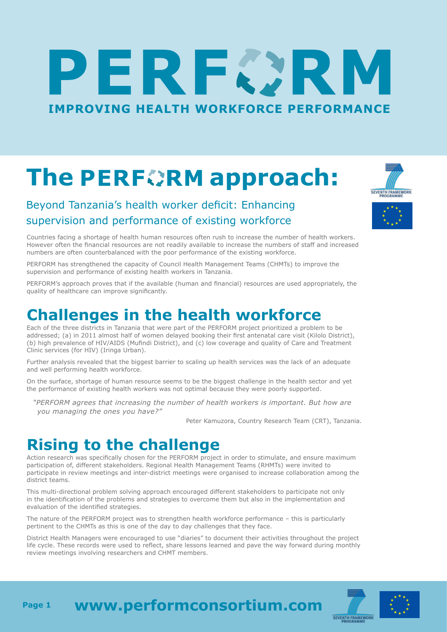# RECIR Е **[IMPROVING HEALTH WORKFORCE PERFORMANCE](http://www.performconsortium.com/)**

# **ThePERFORM approach:**

#### Beyond Tanzania's health worker deficit: Enhancing supervision and performance of existing workforce

SEVENTH FRAMEWORK

Countries facing a shortage of health human resources often rush to increase the number of health workers. However often the financial resources are not readily available to increase the numbers of staff and increased numbers are often counterbalanced with the poor performance of the existing workforce.

PERFORM has strengthened the capacity of Council Health Management Teams (CHMTs) to improve the supervision and performance of existing health workers in Tanzania.

PERFORM's approach proves that if the available (human and financial) resources are used appropriately, the quality of healthcare can improve significantly.

#### **Challenges in the health workforce**

Each of the three districts in Tanzania that were part of the PERFORM project prioritized a problem to be addressed; (a) in 2011 almost half of women delayed booking their first antenatal care visit (Kilolo District), (b) high prevalence of HIV/AIDS (Mufindi District), and (c) low coverage and quality of Care and Treatment Clinic services (for HIV) (Iringa Urban).

Further analysis revealed that the biggest barrier to scaling up health services was the lack of an adequate and well performing health workforce.

On the surface, shortage of human resource seems to be the biggest challenge in the health sector and yet the performance of existing health workers was not optimal because they were poorly supported.

*"PERFORM agrees that increasing the number of health workers is important. But how are you managing the ones you have?"* 

Peter Kamuzora, Country Research Team (CRT), Tanzania.

## **Rising to the challenge**

Action research was specifically chosen for the PERFORM project in order to stimulate, and ensure maximum participation of, different stakeholders. Regional Health Management Teams (RHMTs) were invited to participate in review meetings and inter-district meetings were organised to increase collaboration among the district teams.

This multi-directional problem solving approach encouraged different stakeholders to participate not only in the identification of the problems and strategies to overcome them but also in the implementation and evaluation of the identified strategies.

The nature of the PERFORM project was to strengthen health workforce performance – this is particularly pertinent to the CHMTs as this is one of the day to day challenges that they face.

District Health Managers were encouraged to use "diaries" to document their activities throughout the project life cycle. These records were used to reflect, share lessons learned and pave the way forward during monthly review meetings involving researchers and CHMT members.



**[www.performconsortium.com](http://www.performconsortium.com/) Page 1**